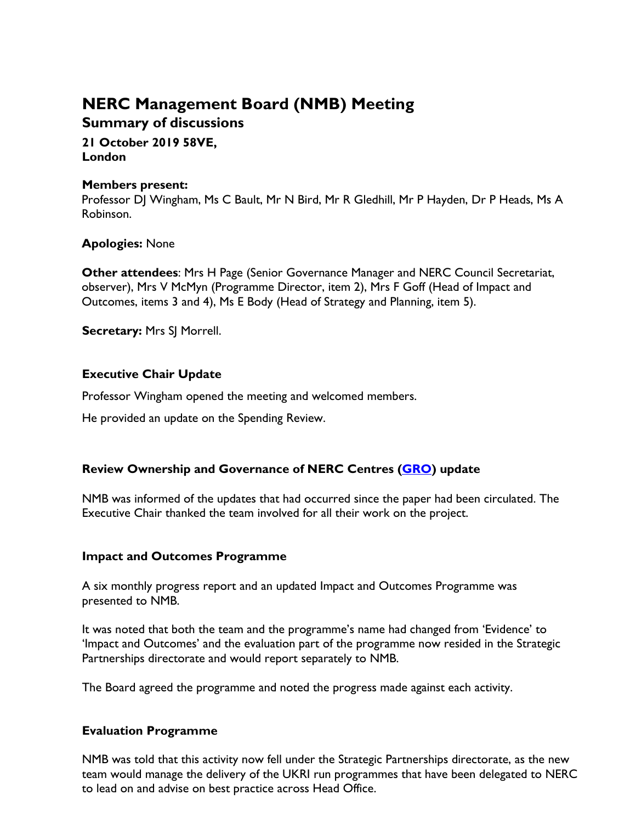# **NERC Management Board (NMB) Meeting**

# **Summary of discussions**

### **21 October 2019 58VE, London**

### **Members present:**

Professor DJ Wingham, Ms C Bault, Mr N Bird, Mr R Gledhill, Mr P Hayden, Dr P Heads, Ms A Robinson.

# **Apologies:** None

**Other attendees**: Mrs H Page (Senior Governance Manager and NERC Council Secretariat, observer), Mrs V McMyn (Programme Director, item 2), Mrs F Goff (Head of Impact and Outcomes, items 3 and 4), Ms E Body (Head of Strategy and Planning, item 5).

**Secretary:** Mrs SJ Morrell.

# **Executive Chair Update**

Professor Wingham opened the meeting and welcomed members.

He provided an update on the Spending Review.

# **Review Ownership and Governance of NERC Centres [\(GRO\)](https://nerc.ukri.org/about/whatwedo/engage/engagement/governance/) update**

NMB was informed of the updates that had occurred since the paper had been circulated. The Executive Chair thanked the team involved for all their work on the project.

# **Impact and Outcomes Programme**

A six monthly progress report and an updated Impact and Outcomes Programme was presented to NMB.

It was noted that both the team and the programme's name had changed from 'Evidence' to 'Impact and Outcomes' and the evaluation part of the programme now resided in the Strategic Partnerships directorate and would report separately to NMB.

The Board agreed the programme and noted the progress made against each activity.

# **Evaluation Programme**

NMB was told that this activity now fell under the Strategic Partnerships directorate, as the new team would manage the delivery of the UKRI run programmes that have been delegated to NERC to lead on and advise on best practice across Head Office.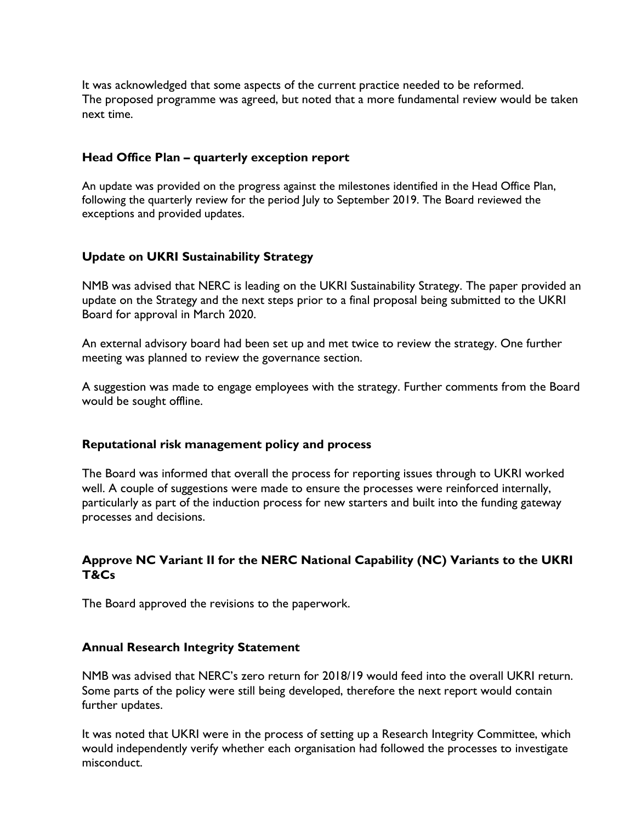It was acknowledged that some aspects of the current practice needed to be reformed. The proposed programme was agreed, but noted that a more fundamental review would be taken next time.

### **Head Office Plan – quarterly exception report**

An update was provided on the progress against the milestones identified in the Head Office Plan, following the quarterly review for the period July to September 2019. The Board reviewed the exceptions and provided updates.

### **Update on UKRI Sustainability Strategy**

NMB was advised that NERC is leading on the UKRI Sustainability Strategy. The paper provided an update on the Strategy and the next steps prior to a final proposal being submitted to the UKRI Board for approval in March 2020.

An external advisory board had been set up and met twice to review the strategy. One further meeting was planned to review the governance section.

A suggestion was made to engage employees with the strategy. Further comments from the Board would be sought offline.

#### **Reputational risk management policy and process**

The Board was informed that overall the process for reporting issues through to UKRI worked well. A couple of suggestions were made to ensure the processes were reinforced internally, particularly as part of the induction process for new starters and built into the funding gateway processes and decisions.

# **Approve NC Variant II for the NERC National Capability (NC) Variants to the UKRI T&Cs**

The Board approved the revisions to the paperwork.

#### **Annual Research Integrity Statement**

NMB was advised that NERC's zero return for 2018/19 would feed into the overall UKRI return. Some parts of the policy were still being developed, therefore the next report would contain further updates.

It was noted that UKRI were in the process of setting up a Research Integrity Committee, which would independently verify whether each organisation had followed the processes to investigate misconduct.